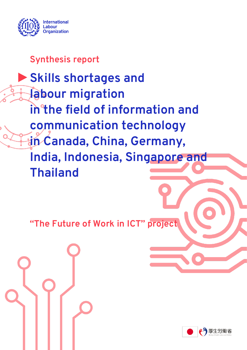

# **Synthesis report**

**Skills shortages and labour migration in the field of information and communication technology in Canada, China, Germany, India, Indonesia, Singapore and Thailand**

**"The Future of Work in ICT" project**

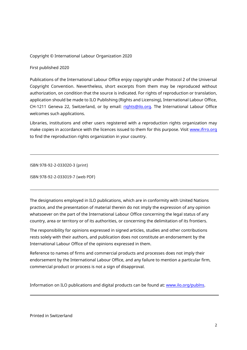<span id="page-1-0"></span>Copyright © International Labour Organization 2020

First published 2020

Publications of the International Labour Office enjoy copyright under Protocol 2 of the Universal Copyright Convention. Nevertheless, short excerpts from them may be reproduced without authorization, on condition that the source is indicated. For rights of reproduction or translation, application should be made to ILO Publishing (Rights and Licensing), International Labour Office, CH-1211 Geneva 22, Switzerland, or by email: [rights@ilo.org.](mailto:rights@ilo.org) The International Labour Office welcomes such applications.

Libraries, institutions and other users registered with a reproduction rights organization may make copies in accordance with the licences issued to them for this purpose. Visit [www.ifrro.org](http://www.ifrro.org/) to find the reproduction rights organization in your country.

ISBN 978-92-2-033020-3 (print)

ISBN 978-92-2-033019-7 (web PDF)

The designations employed in ILO publications, which are in conformity with United Nations practice, and the presentation of material therein do not imply the expression of any opinion whatsoever on the part of the International Labour Office concerning the legal status of any country, area or territory or of its authorities, or concerning the delimitation of its frontiers.

The responsibility for opinions expressed in signed articles, studies and other contributions rests solely with their authors, and publication does not constitute an endorsement by the International Labour Office of the opinions expressed in them.

Reference to names of firms and commercial products and processes does not imply their endorsement by the International Labour Office, and any failure to mention a particular firm, commercial product or process is not a sign of disapproval.

Information on ILO publications and digital products can be found at: [www.ilo.org/publns.](http://www.ilo.org/publns)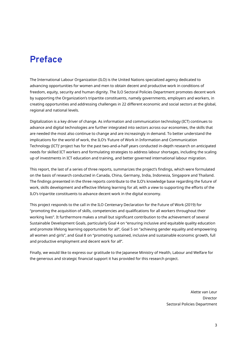# **Preface**

The International Labour Organization (ILO) is the United Nations specialized agency dedicated to advancing opportunities for women and men to obtain decent and productive work in conditions of freedom, equity, security and human dignity. The ILO Sectoral Policies Department promotes decent work by supporting the Organization's tripartite constituents, namely governments, employers and workers, in creating opportunities and addressing challenges in 22 different economic and social sectors at the global, regional and national levels.

Digitalization is a key driver of change. As information and communication technology (ICT) continues to advance and digital technologies are further integrated into sectors across our economies, the skills that are needed the most also continue to change and are increasingly in demand. To better understand the implications for the world of work, the ILO's 'Future of Work in Information and Communication Technology (ICT)' project has for the past two-and-a-half years conducted in-depth research on anticipated needs for skilled ICT workers and formulating strategies to address labour shortages, including the scaling up of investments in ICT education and training, and better governed international labour migration.

This report, the last of a series of three reports, summarizes the project's findings, which were formulated on the basis of research conducted in Canada, China, Germany, India, Indonesia, Singapore and Thailand. The findings presented in the three reports contribute to the ILO's knowledge base regarding the future of work, skills development and effective lifelong learning for all, with a view to supporting the efforts of the ILO's tripartite constituents to advance decent work in the digital economy.

This project responds to the call in the ILO Centenary Declaration for the Future of Work (2019) for "promoting the acquisition of skills, competencies and qualifications for all workers throughout their working lives". It furthermore makes a small but significant contribution to the achievement of several Sustainable Development Goals, particularly Goal 4 on "ensuring inclusive and equitable quality education and promote lifelong learning opportunities for all", Goal 5 on "achieving gender equality and empowering all women and girls", and Goal 8 on "promoting sustained, inclusive and sustainable economic growth, full and productive employment and decent work for all".

Finally, we would like to express our gratitude to the Japanese Ministry of Health, Labour and Welfare for the generous and strategic financial support it has provided for this research project.

> Alette van Leur Director Sectoral Policies Department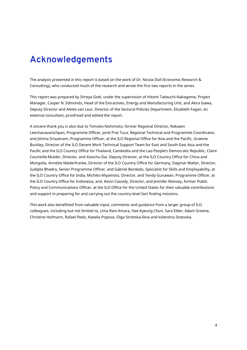# <span id="page-3-0"></span>**Acknowledgements**

The analysis presented in this report is based on the work of Dr. Nicola Düll (Economix Research & Consulting), who conducted much of the research and wrote the first two reports in the series.

This report was prepared by Shreya Goel, under the supervision of Hitomi Takeuchi-Nakagome, Project Manager, Casper N. Edmonds, Head of the Extractives, Energy and Manufacturing Unit, and Akira Isawa, Deputy Director and Alette van Leur, Director of the Sectoral Policies Department. Elizabeth Fagan, an external consultant, proofread and edited the report.

A sincere thank you is also due to Tomoko Nishimoto, former Regional Director, Rakawin Leechanavanichpan, Programme Officer, Jordi Prat Tuca, Regional Technical and Programme Coordinator, and Jittima Srisuknam, Programme Officer, at the ILO Regional Office for Asia and the Pacific, Graeme Buckley, Director of the ILO Decent Work Technical Support Team for East and South-East Asia and the Pacific and the ILO Country Office for Thailand, Cambodia and the Lao People's Democratic Republic, Claire Courteille-Mulder, Director, and Xiaochu Dai, Deputy Director, at the ILO Country Office for China and Mongolia, Annette Niederfranke, Director of the ILO Country Office for Germany, Dagmar Walter, Director, Sudipta Bhadra, Senior Programme Officer, and Gabriel Bordado, Specialist for Skills and Employability, at the ILO Country Office for India, Michiko Miyamoto, Director, and Tendy Gunawan, Programme Officer, at the ILO Country Office for Indonesia, and, Kevin Cassidy, Director, and Jennifer Mansey, former Public Policy and Communications Officer, at the ILO Office for the United States for their valuable contributions and support in preparing for and carrying out the country-level fact finding missions.

This work also benefitted from valuable input, comments and guidance from a larger group of ILO colleagues, including but not limited to, Uma Rani Amara, Hae Kyeung Chun, Sara Elder, Adam Greene, Christine Hofmann, Rafael Peels, Natalia Popova, Olga Strietska-Ilina and Valentina Stoevska.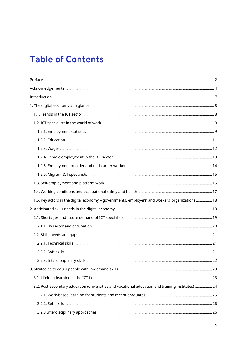# **Table of Contents**

| 1.5. Key actors in the digital economy - governments, employers' and workers' organizations  18   |  |
|---------------------------------------------------------------------------------------------------|--|
|                                                                                                   |  |
|                                                                                                   |  |
|                                                                                                   |  |
|                                                                                                   |  |
|                                                                                                   |  |
|                                                                                                   |  |
|                                                                                                   |  |
|                                                                                                   |  |
|                                                                                                   |  |
| 3.2. Post-secondary education (universities and vocational education and training institutes)  24 |  |
|                                                                                                   |  |
|                                                                                                   |  |
|                                                                                                   |  |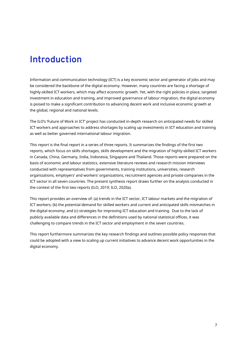# <span id="page-6-0"></span>**Introduction**

Information and communication technology (ICT) is a key economic sector and generator of jobs and may be considered the backbone of the digital economy. However, many countries are facing a shortage of highly-skilled ICT workers, which may affect economic growth. Yet, with the right policies in place, targeted investment in education and training, and improved governance of labour migration, the digital economy is poised to make a significant contribution to advancing decent work and inclusive economic growth at the global, regional and national levels.

The ILO's 'Future of Work in ICT' project has conducted in-depth research on anticipated needs for skilled ICT workers and approaches to address shortages by scaling up investments in ICT education and training as well as better governed international labour migration.

This report is the final report in a series of three reports. It summarizes the findings of the first two reports, which focus on skills shortages, skills development and the migration of highly-skilled ICT workers in Canada, China, Germany, India, Indonesia, Singapore and Thailand. Those reports were prepared on the basis of economic and labour statistics, extensive literature reviews and research mission interviews conducted with representatives from governments, training institutions, universities, research organizations, employers' and workers' organizations, recruitment agencies and private companies in the ICT sector in all seven countries. The present synthesis report draws further on the analysis conducted in the context of the first two reports (ILO, 2019; ILO, 2020a).

This report provides an overview of: (a) trends in the ICT sector, ICT labour markets and the migration of ICT workers; (b) the potential demand for skilled workers and current and anticipated skills mismatches in the digital economy; and (c) strategies for improving ICT education and training. Due to the lack of publicly available data and differences in the definitions used by national statistical offices, it was challenging to compare trends in the ICT sector and employment in the seven countries.

This report furthermore summarizes the key research findings and outlines possible policy responses that could be adopted with a view to scaling up current initiatives to advance decent work opportunities in the digital economy.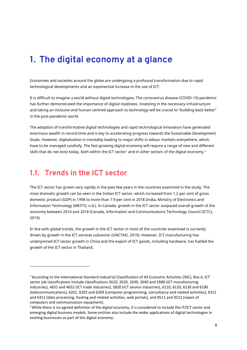# <span id="page-7-0"></span>**1. The digital economy at a glance**

Economies and societies around the globe are undergoing a profound transformation due to rapid technological developments and an exponential increase in the use of ICT.

It is difficult to imagine a world without digital technologies. The coronavirus disease (COVID-19) pandemic has further demonstrated the importance of digital readiness. Investing in the necessary infrastructure and taking an inclusive and human-centred approach to technology will be crucial to "building back better" in the post-pandemic world.

The adoption of transformative digital technologies and rapid technological innovation have generated enormous wealth in record time and is key to accelerating progress towards the Sustainable Development Goals. However, digitalization is inevitably leading to major shifts in labour markets everywhere, which have to be managed carefully. The fast-growing digital economy will require a range of new and different skills that do not exist today, both within the ICT sector<sup>1</sup> and in other sectors of the digital economy.<sup>2</sup>

## <span id="page-7-1"></span>**1.1. Trends in the ICT sector**

-

The ICT sector has grown very rapidly in the past few years in the countries examined in the study. The most dramatic growth can be seen in the Indian ICT sector, which increased from 1.2 per cent of gross domestic product (GDP) in 1998 to more than 7.9 per cent in 2018 (India, Ministry of Electronics and Information Technology (MEITY), n.d.). In Canada, growth in the ICT sector outpaced overall growth of the economy between 2014 and 2018 (Canada, Information and Communications Technology Council (ICTC), 2019).

In line with global trends, the growth in the ICT sector in most of the countries examined is currently driven by growth in the ICT services subsector (UNCTAD, 2019). However, ICT manufacturing has underpinned ICT sector growth in China and the export of ICT goods, including hardware, has fuelled the growth of the ICT sector in Thailand.

<sup>&</sup>lt;sup>1</sup> According to the International Standard Industrial Classification of All Economic Activities (ISIC), Rev.4, ICT sector job classifications include classifications 2610, 2620, 2630, 2640 and 2680 (ICT manufacturing industries), 4651 and 4652 (ICT trade industries), 5820 (ICT service industries), 6110, 6120, 6130 and 6190 (telecommunications), 6201, 6202 and 6209 (computer programming, consultancy and related activities), 6311 and 6312 (data processing, hosting and related activities; web portals), and 9511 and 9512 (repair of computers and communication equipment).

<sup>&</sup>lt;sup>2</sup> While there is no agreed definition of the digital economy, it is considered to include the IT/ICT sector and emerging digital business models. Some entities also include the wider applications of digital technologies in existing businesses as part of the digital economy.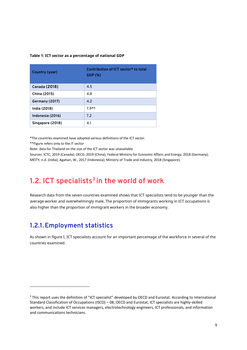#### **Table 1: ICT sector as a percentage of national GDP**

| Country (year)       | Contribution of ICT sector* to total<br><b>GDP</b> (%) |
|----------------------|--------------------------------------------------------|
| <b>Canada (2018)</b> | 4.5                                                    |
| China (2015)         | 4.8                                                    |
| Germany (2017)       | 4.2                                                    |
| India (2018)         | $79**$                                                 |
| Indonesia (2016)     | 7.2                                                    |
| Singapore (2018)     | 4.1                                                    |

\*The countries examined have adopted various definitions of the ICT sector.

\*\*Figure refers only to the IT sector

Note: data for Thailand on the size of the ICT sector was unavailable

Sources: ICTC, 2019 (Canada); OECD, 2019 (China); Federal Ministry for Economic Affairs and Energy, 2018 (Germany); MEITY, n.d. (India); Agahari, W., 2017 (Indonesia); Ministry of Trade and Industry, 2018 (Singapore).

## <span id="page-8-0"></span>**1.2. ICT specialists<sup>3</sup> in the world of work**

Research data from the seven countries examined shows that ICT specialists tend to be younger than the average worker and overwhelmingly male. The proportion of immigrants working in ICT occupations is also higher than the proportion of immigrant workers in the broader economy.

### <span id="page-8-1"></span>**1.2.1.Employment statistics**

-

As shown in figure I, ICT specialists account for an important percentage of the workforce in several of the countries examined.

<sup>&</sup>lt;sup>3</sup> This report uses the definition of "ICT specialist" developed by OECD and Eurostat. According to International Standard Classification of Occupations (ISCO) – 08, OECD and Eurostat, ICT specialists are highly-skilled workers, and include ICT services managers, electrotechnology engineers, ICT professionals, and information and communications technicians.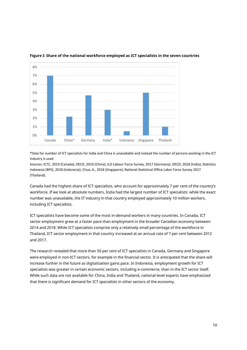

**Figure I: Share of the national workforce employed as ICT specialists in the seven countries**

\*Data for number of ICT specialists for India and China is unavailable and instead the number of persons working in the ICT industry is used

Sources: ICTC, 2019 (Canada); OECD, 2019 (China); ILO Labour Force Survey, 2017 (Germany); OECD, 2018 (India); Statistics Indonesia (BPS), 2018 (Indonesia); Chua, A., 2018 (Singapore); National Statistical Office Labor Force Survey 2017 (Thailand).

Canada had the highest share of ICT specialists, who account for approximately 7 per cent of the country's workforce. If we look at absolute numbers, India had the largest number of ICT specialists: while the exact number was unavailable, the IT industry in that country employed approximately 10 million workers, including ICT specialists.

ICT specialists have become some of the most in-demand workers in many countries. In Canada, ICT sector employment grew at a faster pace than employment in the broader Canadian economy between 2014 and 2018. While ICT specialists comprise only a relatively small percentage of the workforce in Thailand, ICT sector employment in that country increased at an annual rate of 7 per cent between 2012 and 2017.

The research revealed that more than 50 per cent of ICT specialists in Canada, Germany and Singapore were employed in non-ICT sectors, for example in the financial sector. It is anticipated that the share will increase further in the future as digitalization gains pace. In Indonesia, employment growth for ICT specialists was greater in certain economic sectors, including e-commerce, than in the ICT sector itself. While such data are not available for China, India and Thailand, national-level experts have emphasized that there is significant demand for ICT specialists in other sectors of the economy.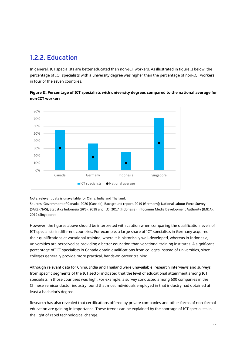### <span id="page-10-0"></span>**1.2.2. Education**

In general, ICT specialists are better educated than non-ICT workers. As illustrated in figure II below, the percentage of ICT specialists with a university degree was higher than the percentage of non-ICT workers in four of the seven countries.





Note: relevant data is unavailable for China, India and Thailand.

Sources: Government of Canada, 2020 (Canada); Background report, 2019 (Germany); National Labour Force Survey (SAKERNAS), Statistics Indonesia (BPS), 2018 and ILO, 2017 (Indonesia); Infocomm Media Development Authority (IMDA), 2019 (Singapore).

However, the figures above should be interpreted with caution when comparing the qualification levels of ICT specialists in different countries. For example, a large share of ICT specialists in Germany acquired their qualifications at vocational training, where it is historically well-developed, whereas in Indonesia, universities are perceived as providing a better education than vocational training institutes. A significant percentage of ICT specialists in Canada obtain qualifications from colleges instead of universities, since colleges generally provide more practical, hands-on career training.

Although relevant data for China, India and Thailand were unavailable, research interviews and surveys from specific segments of the ICT sector indicated that the level of educational attainment among ICT specialists in those countries was high. For example, a survey conducted among 600 companies in the Chinese semiconductor industry found that most individuals employed in that industry had obtained at least a bachelor's degree.

Research has also revealed that certifications offered by private companies and other forms of non-formal education are gaining in importance. These trends can be explained by the shortage of ICT specialists in the light of rapid technological change.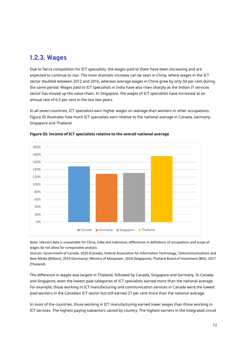### <span id="page-11-0"></span>**1.2.3. Wages**

Due to fierce competition for ICT specialists, the wages paid to them have been increasing and are expected to continue to rise. The most dramatic increase can be seen in China, where wages in the ICT sector doubled between 2012 and 2016, whereas average wages in China grew by only 50 per cent during the same period. Wages paid to ICT specialists in India have also risen sharply as the Indian IT services sector has moved up the value chain. In Singapore, the wages of ICT specialists have increased at an annual rate of 6.5 per cent in the last two years.

In all seven countries, ICT specialists earn higher wages on average than workers in other occupations. Figure III illustrates how much ICT specialists earn relative to the national average in Canada, Germany, Singapore and Thailand.



**Figure III: Income of ICT specialists relative to the overall national average**

Note: relevant data is unavailable for China, India and Indonesia; differences in definitions of occupations and scope of wages do not allow for comparative analysis

Sources: Government of Canada, 2020 (Canada); Federal Association for Information Technology, Telecommunications and New Media (Bitkom), 2019 (Germany); Ministry of Manpower, 2018 (Singapore); Thailand Board of Investment (BOI), 2017 (Thailand).

The difference in wages was largest in Thailand, followed by Canada, Singapore and Germany. In Canada and Singapore, even the lowest paid categories of ICT specialists earned more than the national average. For example, those working in ICT manufacturing and communication services in Canada were the lowest paid workers in the Canadian ICT sector but still earned 27 per cent more than the national average.

In most of the countries, those working in ICT manufacturing earned lower wages than those working in ICT services. The highest paying subsectors varied by country. The highest earners in the integrated circuit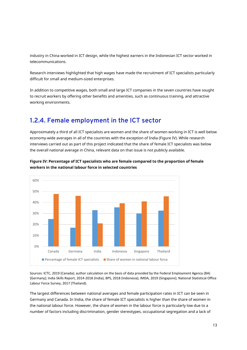industry in China worked in ICT design, while the highest earners in the Indonesian ICT sector worked in telecommunications.

Research interviews highlighted that high wages have made the recruitment of ICT specialists particularly difficult for small and medium-sized enterprises.

In addition to competitive wages, both small and large ICT companies in the seven countries have sought to recruit workers by offering other benefits and amenities, such as continuous training, and attractive working environments.

### <span id="page-12-0"></span>**1.2.4. Female employment in the ICT sector**

Approximately a third of all ICT specialists are women and the share of women working in ICT is well below economy-wide averages in all of the countries with the exception of India (Figure IV). While research interviews carried out as part of this project indicated that the share of female ICT specialists was below the overall national average in China, relevant data on that issue is not publicly available.





Sources: ICTC, 2019 (Canada); author calculation on the basis of data provided by the Federal Employment Agency (BA) (Germany); India Skills Report, 2014-2018 (India); BPS, 2018 (Indonesia); IMDA, 2019 (Singapore); National Statistical Office Labour Force Survey, 2017 (Thailand).

The largest differences between national averages and female participation rates in ICT can be seen in Germany and Canada. In India, the share of female ICT specialists is higher than the share of women in the national labour force. However, the share of women in the labour force is particularly low due to a number of factors including discrimination, gender stereotypes, occupational segregation and a lack of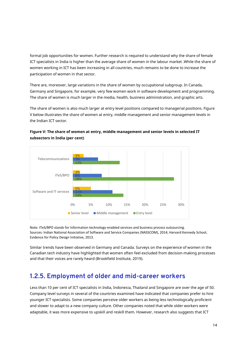formal job opportunities for women. Further research is required to understand why the share of female ICT specialists in India is higher than the average share of women in the labour market .While the share of women working in ICT has been increasing in all countries, much remains to be done to increase the participation of women in that sector.

There are, moreover, large variations in the share of women by occupational subgroup. In Canada, Germany and Singapore, for example, very few women work in software development and programming. The share of women is much larger in the media, health, business administration, and graphic arts.

The share of women is also much larger at entry level positions compared to managerial positions. Figure V below illustrates the share of women at entry, middle management and senior management levels in the Indian ICT sector.



### **Figure V: The share of women at entry, middle management and senior levels in selected IT subsectors in India (per cent)**

Note: ITeS/BPO stands for Information technology-enabled services and business process outsourcing. Sources: Indian National Association of Software and Service Companies (NASSCOM), 2014; Harvard Kennedy School, Evidence for Policy Design Initiative, 2013.

Similar trends have been observed in Germany and Canada. Surveys on the experience of women in the Canadian tech industry have highlighted that women often feel excluded from decision-making processes and that their voices are rarely heard (Brookfield Institute, 2019).

### <span id="page-13-0"></span>**1.2.5. Employment of older and mid-career workers**

Less than 10 per cent of ICT specialists in India, Indonesia, Thailand and Singapore are over the age of 50. Company level surveys in several of the countries examined have indicated that companies prefer to hire younger ICT specialists. Some companies perceive older workers as being less technologically proficient and slower to adapt to a new company culture. Other companies noted that while older workers were adaptable, it was more expensive to upskill and reskill them. However, research also suggests that ICT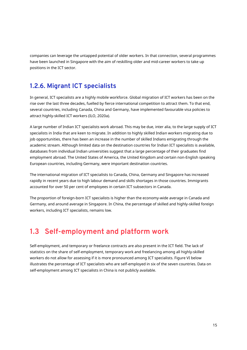companies can leverage the untapped potential of older workers. In that connection, several programmes have been launched in Singapore with the aim of reskilling older and mid-career workers to take up positions in the ICT sector.

### <span id="page-14-0"></span>**1.2.6. Migrant ICT specialists**

In general, ICT specialists are a highly mobile workforce. Global migration of ICT workers has been on the rise over the last three decades, fuelled by fierce international competition to attract them. To that end, several countries, including Canada, China and Germany, have implemented favourable visa policies to attract highly-skilled ICT workers (ILO, 2020a).

A large number of Indian ICT specialists work abroad. This may be due, inter alia, to the large supply of ICT specialists in India that are keen to migrate. In addition to highly skilled Indian workers migrating due to job opportunities, there has been an increase in the number of skilled Indians emigrating through the academic stream. Although limited data on the destination countries for Indian ICT specialists is available, databases from individual Indian universities suggest that a large percentage of their graduates find employment abroad. The United States of America, the United Kingdom and certain non-English speaking European countries, including Germany, were important destination countries.

The international migration of ICT specialists to Canada, China, Germany and Singapore has increased rapidly in recent years due to high labour demand and skills shortages in those countries. Immigrants accounted for over 50 per cent of employees in certain ICT subsectors in Canada.

The proportion of foreign-born ICT specialists is higher than the economy-wide average in Canada and Germany, and around average in Singapore. In China, the percentage of skilled and highly-skilled foreign workers, including ICT specialists, remains low.

# <span id="page-14-1"></span>**1.3 Self-employment and platform work**

Self-employment, and temporary or freelance contracts are also present in the ICT field. The lack of statistics on the share of self-employment, temporary work and freelancing among all highly-skilled workers do not allow for assessing if it is more pronounced among ICT specialists. Figure VI below illustrates the percentage of ICT specialists who are self-employed in six of the seven countries. Data on self-employment among ICT specialists in China is not publicly available.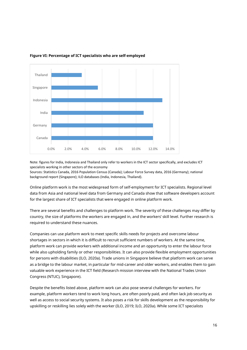

#### **Figure VI: Percentage of ICT specialists who are self-employed**

Note: figures for India, Indonesia and Thailand only refer to workers in the ICT sector specifically, and excludes ICT specialists working in other sectors of the economy

Sources: Statistics Canada, 2016 Population Census (Canada); Labour Force Survey data, 2016 (Germany); national background report (Singapore); ILO databases (India, Indonesia, Thailand).

Online platform work is the most widespread form of self-employment for ICT specialists. Regional level data from Asia and national level data from Germany and Canada show that software developers account for the largest share of ICT specialists that were engaged in online platform work.

There are several benefits and challenges to platform work. The severity of these challenges may differ by country, the size of platforms the workers are engaged in, and the workers' skill level. Further research is required to understand these nuances.

Companies can use platform work to meet specific skills needs for projects and overcome labour shortages in sectors in which it is difficult to recruit sufficient numbers of workers. At the same time, platform work can provide workers with additional income and an opportunity to enter the labour force while also upholding family or other responsibilities. It can also provide flexible employment opportunities for persons with disabilities (ILO, 2020a). Trade unions in Singapore believe that platform work can serve as a bridge to the labour market, in particular for mid-career and older workers, and enables them to gain valuable work experience in the ICT field (Research mission interview with the National Trades Union Congress (NTUC), Singapore).

Despite the benefits listed above, platform work can also pose several challenges for workers. For example, platform workers tend to work long hours, are often poorly paid, and often lack job security as well as access to social security systems. It also poses a risk for skills development as the responsibility for upskilling or reskilling lies solely with the worker (ILO, 2019; ILO, 2020a). While some ICT specialists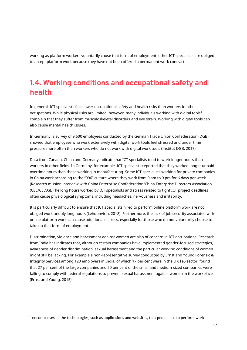working as platform workers voluntarily chose that form of employment, other ICT specialists are obliged to accept platform work because they have not been offered a permanent work contract.

# <span id="page-16-0"></span>**1.4. Working conditions and occupational safety and health**

In general, ICT specialists face lower occupational safety and health risks than workers in other occupations. While physical risks are limited, however, many individuals working with digital tools<sup>4</sup> complain that they suffer from musculoskeletal disorders and eye strain. Working with digital tools can also cause mental health issues.

In Germany, a survey of 9,600 employees conducted by the German Trade Union Confederation (DGB), showed that employees who work extensively with digital work tools feel stressed and under time pressure more often than workers who do not work with digital work tools (Institut DGB, 2017).

Data from Canada, China and Germany indicate that ICT specialists tend to work longer hours than workers in other fields. In Germany, for example, ICT specialists reported that they worked longer unpaid overtime hours than those working in manufacturing. Some ICT specialists working for private companies in China work according to the "996" culture where they work from 9 am to 9 pm for 6 days per week (Research mission interview with China Enterprise Confederation/China Enterprise Directors Association (CEC/CEDA)). The long hours worked by ICT specialists and stress related to tight ICT project deadlines often cause physiological symptoms, including headaches, nervousness and irritability.

It is particularly difficult to ensure that ICT specialists hired to perform online platform work are not obliged work unduly long hours (Lehdonvirta, 2018). Furthermore, the lack of job security associated with online platform work can cause additional distress, especially for those who do not voluntarily choose to take up that form of employment.

Discrimination, violence and harassment against women are also of concern in ICT occupations. Research from India has indicates that, although certain companies have implemented gender-focused strategies, awareness of gender discrimination, sexual harassment and the particular working conditions of women might still be lacking. For example a non-representative survey conducted by Ernst and Young Forensic & Integrity Services among 120 employers in India, of which 17 per cent were in the IT/ITeS sector, found that 27 per cent of the large companies and 50 per cent of the small and medium-sized companies were failing to comply with federal regulations to prevent sexual harassment against women in the workplace (Ernst and Young, 2015).

-

<sup>4</sup> encompasses all the technologies, such as applications and websites, that people use to perform work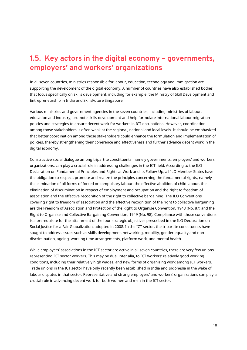## <span id="page-17-0"></span>**1.5. Key actors in the digital economy – governments, employers' and workers' organizations**

In all seven countries, ministries responsible for labour, education, technology and immigration are supporting the development of the digital economy. A number of countries have also established bodies that focus specifically on skills development, including for example, the Ministry of Skill Development and Entrepreneurship in India and SkillsFuture Singapore.

Various ministries and government agencies in the seven countries, including ministries of labour, education and industry, promote skills development and help formulate international labour migration policies and strategies to ensure decent work for workers in ICT occupations. However, coordination among those stakeholders is often weak at the regional, national and local levels. It should be emphasized that better coordination among those stakeholders could enhance the formulation and implementation of policies, thereby strengthening their coherence and effectiveness and further advance decent work in the digital economy.

Constructive social dialogue among tripartite constituents, namely governments, employers' and workers' organizations, can play a crucial role in addressing challenges in the ICT field. According to the ILO Declaration on Fundamental Principles and Rights at Work and its Follow-Up, all ILO Member States have the obligation to respect, promote and realize the principles concerning the fundamental rights, namely the elimination of all forms of forced or compulsory labour, the effective abolition of child labour, the elimination of discrimination in respect of employment and occupation and the right to freedom of association and the effective recognition of the right to collective bargaining. The ILO Conventions covering right to freedom of association and the effective recognition of the right to collective bargaining are the Freedom of Association and Protection of the Right to Organise Convention, 1948 (No. 87) and the Right to Organise and Collective Bargaining Convention, 1949 (No. 98). Compliance with those conventions is a prerequisite for the attainment of the four strategic objectives prescribed in the ILO Declaration on Social Justice for a Fair Globalization, adopted in 2008. In the ICT sector, the tripartite constituents have sought to address issues such as skills development, networking, mobility, gender equality and nondiscrimination, ageing, working time arrangements, platform work, and mental health.

While employers' associations in the ICT sector are active in all seven countries, there are very few unions representing ICT sector workers. This may be due, inter alia, to ICT workers' relatively good working conditions, including their relatively high wages, and new forms of organizing work among ICT workers. Trade unions in the ICT sector have only recently been established in India and Indonesia in the wake of labour disputes in that sector. Representative and strong employers' and workers' organizations can play a crucial role in advancing decent work for both women and men in the ICT sector.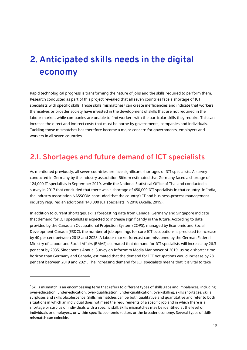# <span id="page-18-0"></span>**2. Anticipated skills needs in the digital economy**

Rapid technological progress is transforming the nature of jobs and the skills required to perform them. Research conducted as part of this project revealed that all seven countries face a shortage of ICT specialists with specific skills. Those skills mismatches<sup>5</sup> can create inefficiencies and indicate that workers themselves or broader society have invested in the development of skills that are not required in the labour market, while companies are unable to find workers with the particular skills they require. This can increase the direct and indirect costs that must be borne by governments, companies and individuals. Tackling those mismatches has therefore become a major concern for governments, employers and workers in all seven countries.

## <span id="page-18-1"></span>**2.1. Shortages and future demand of ICT specialists**

As mentioned previously, all seven countries are face significant shortages of ICT specialists. A survey conducted in Germany by the industry association Bitkom estimated that Germany faced a shortage of 124,000 IT specialists in September 2019, while the National Statistical Office of Thailand conducted a survey in 2017 that concluded that there was a shortage of 450,000 ICT specialists in that country. In India, the industry association NASSCOM concluded that the country's IT and business-process management industry required an additional 140,000 ICT specialists in 2018 (Akella, 2019).

In addition to current shortages, skills forecasting data from Canada, Germany and Singapore indicate that demand for ICT specialists is expected to increase significantly in the future. According to data provided by the Canadian Occupational Projection System (COPS), managed by Economic and Social Development Canada (ESDC), the number of job openings for core ICT occupations is predicted to increase by 40 per cent between 2018 and 2028. A labour market forecast commissioned by the German Federal Ministry of Labour and Social Affairs (BMAS) estimated that demand for ICT specialists will increase by 26.3 per cent by 2035. Singapore's Annual Survey on Infocomm Media Manpower of 2019, using a shorter time horizon than Germany and Canada, estimated that the demand for ICT occupations would increase by 28 per cent between 2019 and 2021. The increasing demand for ICT specialists means that it is vital to take

-

<sup>&</sup>lt;sup>5</sup> Skills mismatch is an encompassing term that refers to different types of skills gaps and imbalances, including over-education, under-education, over-qualification, under-qualification, over-skilling, skills shortages, skills surpluses and skills obsolescence. Skills mismatches can be both qualitative and quantitative and refer to both situations in which an individual does not meet the requirements of a specific job and in which there is a shortage or surplus of individuals with a specific skill. Skills mismatches may be identified at the level of individuals or employers, or within specific economic sectors or the broader economy. Several types of skills mismatch can coincide.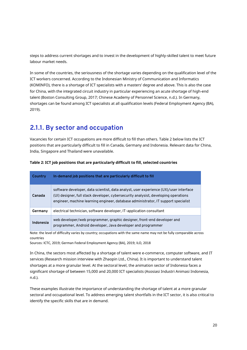steps to address current shortages and to invest in the development of highly-skilled talent to meet future labour market needs.

In some of the countries, the seriousness of the shortage varies depending on the qualification level of the ICT workers concerned. According to the Indonesian Ministry of Communication and Informatics (KOMINFO), there is a shortage of ICT specialists with a masters' degree and above. This is also the case for China, with the integrated circuit industry in particular experiencing an acute shortage of high-end talent (Boston Consulting Group, 2017; Chinese Academy of Personnel Science, n.d.). In Germany, shortages can be found among ICT specialists at all qualification levels (Federal Employment Agency (BA), 2019).

### <span id="page-19-0"></span>**2.1.1. By sector and occupation**

Vacancies for certain ICT occupations are more difficult to fill than others. Table 2 below lists the ICT positions that are particularly difficult to fill in Canada, Germany and Indonesia. Relevant data for China, India, Singapore and Thailand were unavailable.

| Country   | In-demand job positions that are particularly difficult to fill                                                                                                                                                                                                    |
|-----------|--------------------------------------------------------------------------------------------------------------------------------------------------------------------------------------------------------------------------------------------------------------------|
| Canada    | software developer, data scientist, data analyst, user experience (UX)/user interface<br>(UI) designer, full stack developer, cybersecurity analysist, developing operations<br>engineer, machine learning engineer, database administrator, IT support specialist |
| Germany   | electrical technician, software developer, IT-application consultant                                                                                                                                                                                               |
| Indonesia | web developer/web programmer, graphic designer, front-end developer and<br>programmer, Android developer, Java developer and programmer                                                                                                                            |

#### **Table 2: ICT job positions that are particularly difficult to fill, selected countries**

Note: the level of difficulty varies by country; occupations with the same name may not be fully comparable across countries

Sources: ICTC, 2019; German Federal Employment Agency (BA), 2019; ILO, 2018

In China, the sectors most affected by a shortage of talent were e-commerce, computer software, and IT services (Research mission interview with Zhaopin Ltd., China). It is important to understand talent shortages at a more granular level. At the sectoral level, the animation sector of Indonesia faces a significant shortage of between 15,000 and 20,000 ICT specialists (Asosiasi Industri Animasi Indonesia, n.d.).

These examples illustrate the importance of understanding the shortage of talent at a more granular sectoral and occupational level. To address emerging talent shortfalls in the ICT sector, it is also critical to identify the specific skills that are in demand.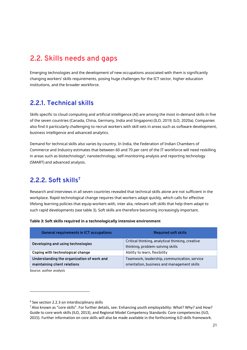# <span id="page-20-0"></span>**2.2. Skills needs and gaps**

Emerging technologies and the development of new occupations associated with them is significantly changing workers' skills requirements, posing huge challenges for the ICT sector, higher education institutions, and the broader workforce.

### <span id="page-20-1"></span>**2.2.1. Technical skills**

Skills specific to cloud computing and artificial intelligence (AI) are among the most in-demand skills in five of the seven countries (Canada, China, Germany, India and Singapore) (ILO, 2019; ILO, 2020a). Companies also find it particularly challenging to recruit workers with skill sets in areas such as software development, business intelligence and advanced analytics.

Demand for technical skills also varies by country. In India, the Federation of Indian Chambers of Commerce and Industry estimates that between 60 and 70 per cent of the IT workforce will need reskilling in areas such as biotechnology<sup>6</sup>, nanotechnology, self-monitoring analysis and reporting technology (SMART) and advanced analysis.

## <span id="page-20-2"></span>**2.2.2. Soft skills<sup>7</sup>**

Research and interviews in all seven countries revealed that technical skills alone are not sufficient in the workplace. Rapid technological change requires that workers adapt quickly, which calls for effective lifelong learning policies that equip workers with, inter alia, relevant soft skills that help them adapt to such rapid developments (see table 3). Soft skills are therefore becoming increasingly important.

|  | Table 3: Soft skills required in a technologically intensive environment |
|--|--------------------------------------------------------------------------|
|--|--------------------------------------------------------------------------|

| <b>General requirements in ICT occupations</b>                             | <b>Required soft skills</b>                                                                 |
|----------------------------------------------------------------------------|---------------------------------------------------------------------------------------------|
| Developing and using technologies                                          | Critical thinking, analytical thinking, creative<br>thinking, problem-solving skills        |
| Coping with technological change                                           | Ability to learn, flexibility                                                               |
| Understanding the organization of work and<br>maintaining client relations | Teamwork, leadership, communication, service<br>orientation, business and management skills |

Source: author analysis

-

<sup>6</sup> See section 2.2.3 on interdisciplinary skills

<sup>7</sup>Also known as "core skills". For further details, see: Enhancing youth employability: What? Why? and How? Guide to core work skills (ILO, 2013), and Regional Model Competency Standards: Core competencies (ILO, 2015). Further information on core skills will also be made available in the forthcoming ILO skills framework.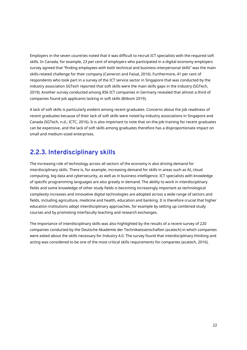Employers in the seven countries noted that it was difficult to recruit ICT specialists with the required soft skills. In Canada, for example, 23 per cent of employers who participated in a digital economy employers survey agreed that "finding employees with both technical and business-interpersonal skills" was the main skills-related challenge for their company (Cameron and Faisal, 2016). Furthermore, 41 per cent of respondents who took part in a survey of the ICT service sector in Singapore that was conducted by the industry association SGTech reported that soft skills were the main skills gaps in the industry (SGTech, 2019). Another survey conducted among 856 ICT companies in Germany revealed that almost a third of companies found job applicants lacking in soft skills (Bitkom 2019).

A lack of soft skills is particularly evident among recent graduates. Concerns about the job readiness of recent graduates because of their lack of soft skills were noted by industry associations in Singapore and Canada (SGTech, n.d.; ICTC, 2016). It is also important to note that on-the-job training for recent graduates can be expensive, and the lack of soft skills among graduates therefore has a disproportionate impact on small and medium-sized enterprises.

### <span id="page-21-0"></span>**2.2.3. Interdisciplinary skills**

The increasing role of technology across all sectors of the economy is also driving demand for interdisciplinary skills. There is, for example, increasing demand for skills in areas such as AI, cloud computing, big data and cybersecurity, as well as in business intelligence. ICT specialists with knowledge of specific programming languages are also greatly in demand. The ability to work in interdisciplinary fields and some knowledge of other study fields is becoming increasingly important as technological complexity increases and innovative digital technologies are adopted across a wide range of sectors and fields, including agriculture, medicine and health, education and banking. It is therefore crucial that higher education institutions adopt interdisciplinary approaches, for example by setting up combined study courses and by promoting interfaculty teaching and research exchanges.

The importance of interdisciplinary skills was also highlighted by the results of a recent survey of 220 companies conducted by the Deutsche Akademie der Technikwissenschaften (acatech) in which companies were asked about the skills necessary for Industry 4.0. The survey found that interdisciplinary thinking and acting was considered to be one of the most critical skills requirements for companies (acatech, 2016).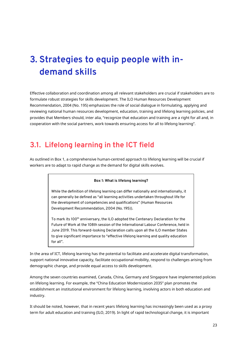# <span id="page-22-0"></span>**3. Strategies to equip people with indemand skills**

Effective collaboration and coordination among all relevant stakeholders are crucial if stakeholders are to formulate robust strategies for skills development. The ILO Human Resources Development Recommendation, 2004 (No. 195) emphasizes the role of social dialogue in formulating, applying and reviewing national human resources development, education, training and lifelong learning policies, and provides that Members should, inter alia, "recognize that education and training are a right for all and, in cooperation with the social partners, work towards ensuring access for all to lifelong learning".

## <span id="page-22-1"></span>**3.1. Lifelong learning in the ICT field**

As outlined in Box 1, a comprehensive human-centred approach to lifelong learning will be crucial if workers are to adapt to rapid change as the demand for digital skills evolves.

#### **Box 1: What is lifelong learning?**

While the definition of lifelong learning can differ nationally and internationally, it can generally be defined as "all learning activities undertaken throughout life for the development of competencies and qualifications" (Human Resources Development Recommendation, 2004 (No. 195)).

To mark its 100th anniversary, the ILO adopted the Centenary Declaration for the Future of Work at the 108th session of the International Labour Conference, held in June 2019. This forward-looking Declaration calls upon all the ILO member States to give significant importance to "effective lifelong learning and quality education for all".

In the area of ICT, lifelong learning has the potential to facilitate and accelerate digital transformation, support national innovative capacity, facilitate occupational mobility, respond to challenges arising from demographic change, and provide equal access to skills development.

Among the seven countries examined, Canada, China, Germany and Singapore have implemented policies on lifelong learning. For example, the "China Education Modernization 2035" plan promotes the establishment an institutional environment for lifelong learning, involving actors in both education and industry.

It should be noted, however, that in recent years lifelong learning has increasingly been used as a proxy term for adult education and training (ILO, 2019). In light of rapid technological change, it is important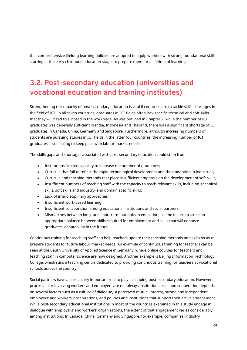that comprehensive lifelong learning policies are adopted to equip workers with strong foundational skills, starting at the early childhood education stage, to prepare them for a lifetime of learning.

# <span id="page-23-0"></span>**3.2. Post-secondary education (universities and vocational education and training institutes)**

Strengthening the capacity of post-secondary education is vital if countries are to tackle skills shortages in the field of ICT. In all seven countries, graduates in ICT fields often lack specific technical and soft skills that they will need to succeed in the workplace. As was outlined in Chapter 2, while the number of ICT graduates was generally sufficient in India, Indonesia and Thailand, there was a significant shortage of ICT graduates in Canada, China, Germany and Singapore. Furthermore, although increasing numbers of students are pursuing studies in ICT fields in the latter four countries, the increasing number of ICT graduates is still failing to keep pace with labour market needs.

The skills gaps and shortages associated with post-secondary education could stem from:

- Institutions' limited capacity to increase the number of graduates:
- Curricula that fail to reflect the rapid technological development and their adoption in industries;
- Curricula and teaching methods that place insufficient emphasis on the development of soft skills;
- Insufficient numbers of teaching staff with the capacity to teach relevant skills, including technical skills, soft skills and industry- and domain specific skills;
- Lack of interdisciplinary approaches;
- Insufficient work-based learning;
- Insufficient collaboration among educational institutions and social partners;
- Mismatches between long- and short-term outlooks in education, i.e. the failure to strike an appropriate balance between skills required for employment and skills that will enhance graduates' adaptability in the future.

Continuous training for teaching staff can help teachers update their teaching methods and skills so as to prepare students for future labour market needs. An example of continuous training for teachers can be seen at the Beuth University of Applied Science in Germany, where online courses for teachers and teaching staff in computer science are now designed. Another example is Beijing Information Technology College, which runs a teaching centre dedicated to providing continuous training for teachers at vocational schools across the country.

Social partners have a particularly important role to play in shaping post-secondary education. However, processes for involving workers and employers are not always institutionalized, and cooperation depends on several factors such as a culture of dialogue, a perceived mutual interest, strong and independent employers' and workers' organizations, and policies and institutions that support their active engagement. While post-secondary educational institutions in most of the countries examined in this study engage in dialogue with employers' and workers' organizations, the extent of that engagement varies considerably among institutions. In Canada, China, Germany and Singapore, for example, companies, industry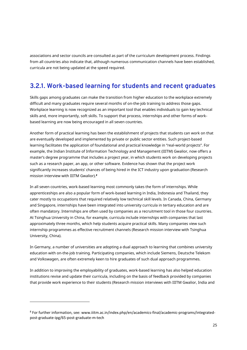associations and sector councils are consulted as part of the curriculum development process. Findings from all countries also indicate that, although numerous communication channels have been established, curricula are not being updated at the speed required.

### <span id="page-24-0"></span>**3.2.1. Work-based learning for students and recent graduates**

Skills gaps among graduates can make the transition from higher education to the workplace extremely difficult and many graduates require several months of on-the-job training to address those gaps. Workplace learning is now recognized as an important tool that enables individuals to gain key technical skills and, more importantly, soft skills. To support that process, internships and other forms of workbased learning are now being encouraged in all seven countries.

Another form of practical learning has been the establishment of projects that students can work on that are eventually developed and implemented by private or public sector entities. Such project-based learning facilitates the application of foundational and practical knowledge in "real-world projects". For example, the Indian Institute of Information Technology and Management (IIITM) Gwalior, now offers a master's degree programme that includes a project year, in which students work on developing projects such as a research paper, an app, or other software. Evidence has shown that the project work significantly increases students' chances of being hired in the ICT industry upon graduation (Research mission interview with IIITM Gwalior).*<sup>8</sup>*

In all seven countries, work-based learning most commonly takes the form of internships. While apprenticeships are also a popular form of work-based learning in India, Indonesia and Thailand, they cater mostly to occupations that required relatively low technical skill levels. In Canada, China, Germany and Singapore, internships have been integrated into university curricula in tertiary education and are often mandatory. Internships are often used by companies as a recruitment tool in those four countries. At Tsinghua University in China, for example, curricula include internships with companies that last approximately three months, which help students acquire practical skills. Many companies view such internship programmes as effective recruitment channels (Research mission interview with Tsinghua University, China).

In Germany, a number of universities are adopting a dual approach to learning that combines university education with on-the-job training. Participating companies, which include Siemens, Deutsche Telekom and Volkswagen, are often extremely keen to hire graduates of such dual approach programmes.

In addition to improving the employability of graduates, work-based learning has also helped education institutions revise and update their curricula, including on the basis of feedback provided by companies that provide work experience to their students (Research mission interviews with IIITM Gwalior, India and

-

<sup>8</sup> For further information, see: [www.iiitm.ac.in/index.php/en/academics-final/academic-programs/integrated](http://www.iiitm.ac.in/index.php/en/academics-final/academic-programs/integrated-post-graduate-ipg/65-post-graduate-m-tech)[post-graduate-ipg/65-post-graduate-m-tech](http://www.iiitm.ac.in/index.php/en/academics-final/academic-programs/integrated-post-graduate-ipg/65-post-graduate-m-tech)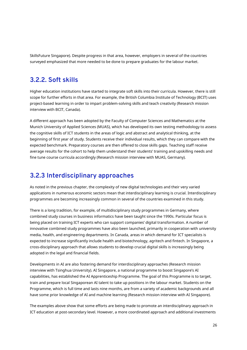SkillsFuture Singapore). Despite progress in that area, however, employers in several of the countries surveyed emphasized that more needed to be done to prepare graduates for the labour market.

### <span id="page-25-0"></span>**3.2.2. Soft skills**

Higher education institutions have started to integrate soft skills into their curricula. However, there is still scope for further efforts in that area. For example, the British Columbia Institute of Technology (BCIT) uses project-based learning in order to impart problem-solving skills and teach creativity (Research mission interview with BCIT, Canada).

A different approach has been adopted by the Faculty of Computer Sciences and Mathematics at the Munich University of Applied Sciences (MUAS), which has developed its own testing methodology to assess the cognitive skills of ICT students in the areas of logic and abstract and analytical thinking, at the beginning of first year of study. Students receive their individual results, which they can compare with the expected benchmark. Preparatory courses are then offered to close skills gaps. Teaching staff receive average results for the cohort to help them understand their students' training and upskilling needs and fine tune course curricula accordingly (Research mission interview with MUAS, Germany).

### <span id="page-25-1"></span>**3.2.3 Interdisciplinary approaches**

As noted in the previous chapter, the complexity of new digital technologies and their very varied applications in numerous economic sectors mean that interdisciplinary learning is crucial. Interdisciplinary programmes are becoming increasingly common in several of the countries examined in this study.

There is a long tradition, for example, of multidisciplinary study programmes in Germany, where combined study courses in business informatics have been taught since the 1990s. Particular focus is being placed on training ICT experts who can support companies' digital transformation. A number of innovative combined study programmes have also been launched, primarily in cooperation with university media, health, and engineering departments. In Canada, areas in which demand for ICT specialists is expected to increase significantly include health and biotechnology, agritech and fintech. In Singapore, a cross-disciplinary approach that allows students to develop crucial digital skills is increasingly being adopted in the legal and financial fields.

Developments in AI are also fostering demand for interdisciplinary approaches (Research mission interview with Tsinghua University). AI Singapore, a national programme to boost Singapore's AI capabilities, has established the AI Apprenticeship Programme. The goal of this Programme is to target, train and prepare local Singaporean AI talent to take up positions in the labour market. Students on the Programme, which is full time and lasts nine months, are from a variety of academic backgrounds and all have some prior knowledge of AI and machine learning (Research mission interview with AI Singapore).

The examples above show that some efforts are being made to promote an interdisciplinary approach in ICT education at post-secondary level. However, a more coordinated approach and additional investments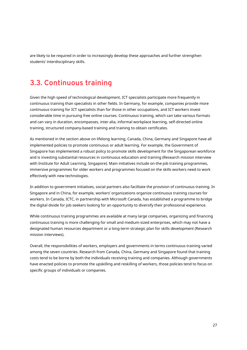are likely to be required in order to increasingly develop these approaches and further strengthen students' interdisciplinary skills.

## <span id="page-26-0"></span>**3.3. Continuous training**

Given the high speed of technological development, ICT specialists participate more frequently in continuous training than specialists in other fields. In Germany, for example, companies provide more continuous training for ICT specialists than for those in other occupations, and ICT workers invest considerable time in pursuing free online courses. Continuous training, which can take various formats and can vary in duration, encompasses, inter alia, informal workplace learning, self-directed online training, structured company-based training and training to obtain certificates.

As mentioned in the section above on lifelong learning, Canada, China, Germany and Singapore have all implemented policies to promote continuous or adult learning. For example, the Government of Singapore has implemented a robust policy to promote skills development for the Singaporean workforce and is investing substantial resources in continuous education and training (Research mission interview with Institute for Adult Learning, Singapore). Main initiatives include on-the-job training programmes, immersive programmes for older workers and programmes focused on the skills workers need to work effectively with new technologies.

In addition to government initiatives, social partners also facilitate the provision of continuous training. In Singapore and in China, for example, workers' organizations organize continuous training courses for workers. In Canada, ICTC, in partnership with Microsoft Canada, has established a programme to bridge the digital divide for job seekers looking for an opportunity to diversify their professional experience.

While continuous training programmes are available at many large companies, organizing and financing continuous training is more challenging for small and medium-sized enterprises, which may not have a designated human resources department or a long-term strategic plan for skills development (Research mission interviews).

Overall, the responsibilities of workers, employers and governments in terms continuous training varied among the seven countries. Research from Canada, China, Germany and Singapore found that training costs tend to be borne by both the individuals receiving training and companies. Although governments have enacted policies to promote the upskilling and reskilling of workers, those policies tend to focus on specific groups of individuals or companies.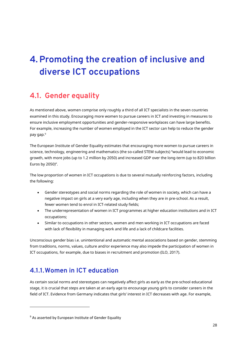# <span id="page-27-0"></span>**4. Promoting the creation of inclusive and diverse ICT occupations**

## <span id="page-27-1"></span>**4.1. Gender equality**

As mentioned above, women comprise only roughly a third of all ICT specialists in the seven countries examined in this study. Encouraging more women to pursue careers in ICT and investing in measures to ensure inclusive employment opportunities and gender-responsive workplaces can have large benefits. For example, increasing the number of women employed in the ICT sector can help to reduce the gender pay gap.<sup>9</sup>

The European Institute of Gender Equality estimates that encouraging more women to pursue careers in science, technology, engineering and mathematics (the so-called STEM subjects) "would lead to economic growth, with more jobs (up to 1.2 million by 2050) and increased GDP over the long-term (up to 820 billion Euros by 2050)".

The low proportion of women in ICT occupations is due to several mutually reinforcing factors, including the following:

- Gender stereotypes and social norms regarding the role of women in society, which can have a negative impact on girls at a very early age, including when they are in pre-school. As a result, fewer women tend to enrol in ICT-related study fields;
- The underrepresentation of women in ICT programmes at higher education institutions and in ICT occupations;
- Similar to occupations in other sectors, women and men working in ICT occupations are faced with lack of flexibility in managing work and life and a lack of childcare facilities.

Unconscious gender bias i.e. unintentional and automatic mental associations based on gender, stemming from traditions, norms, values, culture and/or experience may also impede the participation of women in ICT occupations, for example, due to biases in recruitment and promotion (ILO, 2017).

## <span id="page-27-2"></span>**4.1.1.Women in ICT education**

As certain social norms and stereotypes can negatively affect girls as early as the pre-school educational stage, it is crucial that steps are taken at an early age to encourage young girls to consider careers in the field of ICT. Evidence from Germany indicates that girls' interest in ICT decreases with age. For example,

-

<sup>&</sup>lt;sup>9</sup> As asserted by European Institute of Gender Equality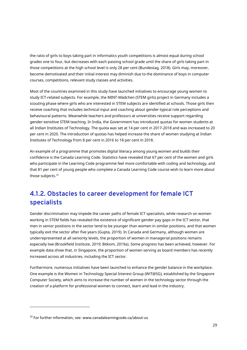the ratio of girls to boys taking part in informatics youth competitions is almost equal during school grades one to four, but decreases with each passing school grade until the share of girls taking part in those competitions at the high school level is only 28 per cent (Bundestag, 2018). Girls may, moreover, become demotivated and their initial interest may diminish due to the dominance of boys in computer courses, competitions, relevant study classes and activities.

Most of the countries examined in this study have launched initiatives to encourage young women to study ICT-related subjects. For example, the MINT-Mädchen (STEM girls) project in Germany includes a scouting phase where girls who are interested in STEM subjects are identified at schools. Those girls then receive coaching that includes technical input and coaching about gender-typical role perceptions and behavioural patterns. Meanwhile teachers and professors at universities receive support regarding gender-sensitive STEM teaching. In India, the Government has introduced quotas for women students at all Indian Institutes of Technology. The quota was set at 14 per cent in 2017-2018 and was increased to 20 per cent in 2020. The introduction of quotas has helped increase the share of women studying at Indian Institutes of Technology from 8 per cent in 2016 to 18 per cent in 2018.

An example of a programme that promotes digital literacy among young women and builds their confidence is the Canada Learning Code. Statistics have revealed that 67 per cent of the women and girls who participate in the Learning Code programme feel more comfortable with coding and technology, and that 81 per cent of young people who complete a Canada Learning Code course wish to learn more about those subjects.<sup>10</sup>

### <span id="page-28-0"></span>**4.1.2. Obstacles to career development for female ICT specialists**

Gender discrimination may impede the career paths of female ICT specialists, while research on women working in STEM fields has revealed the existence of significant gender pay gaps in the ICT sector, that men in senior positions in the sector tend to be younger than women in similar positions, and that women typically exit the sector after five years (Gupta, 2019). In Canada and Germany, although women are underrepresented at all seniority levels, the proportion of women in managerial positions remains especially low (Brookfield Institute, 2019; Bitkom, 2019a). Some progress has been achieved, however. For example data show that, in Singapore, the proportion of women serving as board members has recently increased across all industries, including the ICT sector.

Furthermore, numerous initiatives have been launched to enhance the gender balance in the workplace. One example is the Women in Technology Special Interest Group (WiT@SG), established by the Singapore Computer Society, which aims to increase the number of women in the technology sector through the creation of a platform for professional women to connect, learn and lead in the industry.

-

<sup>10</sup> For further information, see: www.canadalearningcode.ca/about-us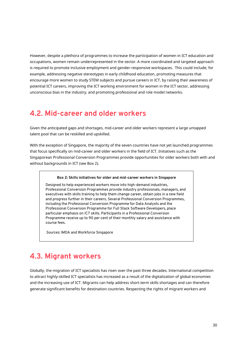However, despite a plethora of programmes to increase the participation of women in ICT education and occupations, women remain underrepresented in the sector. A more coordinated and targeted approach is required to promote inclusive employment and gender-responsive workspaces. This could include, for example, addressing negative stereotypes in early childhood education, promoting measures that encourage more women to study STEM subjects and pursue careers in ICT, by raising their awareness of potential ICT careers, improving the ICT working environment for women in the ICT sector, addressing unconscious bias in the industry, and promoting professional and role model networks.

### <span id="page-29-0"></span>**4.2. Mid-career and older workers**

Given the anticipated gaps and shortages, mid-career and older workers represent a large untapped talent pool that can be reskilled and upskilled.

With the exception of Singapore, the majority of the seven countries have not yet launched programmes that focus specifically on mid-career and older workers in the field of ICT. Initiatives such as the Singaporean Professional Conversion Programmes provide opportunities for older workers both with and without backgrounds in ICT (see Box 2).

#### **Box 2: Skills initiatives for older and mid-career workers in Singapore**

Designed to help experienced workers move into high-demand industries, Professional Conversion Programmes provide industry professionals, managers, and executives with skills training to help them change career, obtain jobs in a new field and progress further in their careers. Several Professional Conversion Programmes, including the Professional Conversion Programme for Data Analysts and the Professional Conversion Programme for Full Stack Software Developers, place particular emphasis on ICT skills. Participants in a Professional Conversion Programme receive up to 90 per cent of their monthly salary and assistance with course fees.

*Sources*: IMDA and Workforce Singapore

## <span id="page-29-1"></span>**4.3. Migrant workers**

Globally, the migration of ICT specialists has risen over the past three decades. International competition to attract highly-skilled ICT specialists has increased as a result of the digitalization of global economies and the increasing use of ICT. Migrants can help address short-term skills shortages and can therefore generate significant benefits for destination countries. Respecting the rights of migrant workers and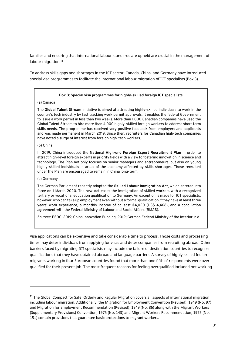families and ensuring that international labour standards are upheld are crucial in the management of labour migration.<sup>11</sup>

To address skills gaps and shortages in the ICT sector, Canada, China, and Germany have introduced special visa programmes to facilitate the international labour migration of ICT specialists (Box 3).

#### **Box 3: Special visa programmes for highly-skilled foreign ICT specialists**

#### (a) Canada

The **Global Talent Stream** initiative is aimed at attracting highly-skilled individuals to work in the country's tech industry by fast tracking work permit approvals. It enables the federal Government to issue a work permit in less than two weeks. More than 1,000 Canadian companies have used the Global Talent Stream to hire more than 4,000 highly-skilled foreign workers to address short term skills needs. The programme has received very positive feedback from employers and applicants and was made permanent in March 2019. Since then, recruiters for Canadian high-tech companies have noted a surge of interest from foreign high-tech workers.

#### (b) China

In 2019, China introduced the **National High-end Foreign Expert Recruitment Plan** in order to attract high-level foreign experts in priority fields with a view to fostering innovation in science and technology. The Plan not only focuses on senior managers and entrepreneurs, but also on young highly-skilled individuals in areas of the economy affected by skills shortages. Those recruited under the Plan are encouraged to remain in China long-term.

### (c) Germany

-

The German Parliament recently adopted the **Skilled Labour Immigration Act**, which entered into force on 1 March 2020. The new Act eases the immigration of skilled workers with a recognized tertiary or vocational education qualification to Germany. An exception is made for ICT specialists, however, who can take up employment even without a formal qualification if they have at least three years' work experience, a monthly income of at least €4,020 (US\$ 4,468), and a conciliation agreement with the Federal Ministry of Labour and Social Affairs (BMAS).

*Sources*: ESDC, 2019; China Innovation Funding, 2019; German Federal Ministry of the Interior, n.d.

Visa applications can be expensive and take considerable time to process. Those costs and processing times may deter individuals from applying for visas and deter companies from recruiting abroad. Other barriers faced by migrating ICT specialists may include the failure of destination countries to recognize qualifications that they have obtained abroad and language barriers. A survey of highly-skilled Indian migrants working in four European countries found that more than one fifth of respondents were overqualified for their present job. The most frequent reasons for feeling overqualified included not working

 $11$  The Global Compact for Safe, Orderly and Regular Migration covers all aspects of international migration, including labour migration. Additionally, the Migration for Employment Convention (Revised), 1949 (No. 97) and Migration for Employment Recommendation (Revised), 1949 (No. 86) along with the Migrant Workers (Supplementary Provisions) Convention, 1975 (No. 143) and Migrant Workers Recommendation, 1975 (No. 151) contain provisions that guarantee basic protections to migrant workers.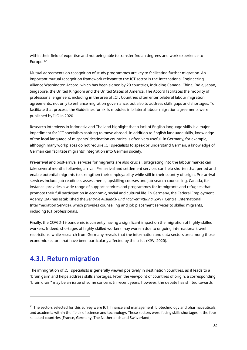within their field of expertise and not being able to transfer Indian degrees and work experience to Europe. *<sup>12</sup>*

Mutual agreements on recognition of study programmes are key to facilitating further migration. An important mutual recognition framework relevant to the ICT sector is the International Engineering Alliance Washington Accord, which has been signed by 20 countries, including Canada, China, India, Japan, Singapore, the United Kingdom and the United States of America. The Accord facilitates the mobility of professional engineers, including in the area of ICT. Countries often enter bilateral labour migration agreements, not only to enhance migration governance, but also to address skills gaps and shortages. To facilitate that process, the Guidelines for skills modules in bilateral labour migration agreements were published by ILO in 2020.

Research interviews in Indonesia and Thailand highlight that a lack of English language skills is a major impediment for ICT specialists aspiring to move abroad. In addition to English language skills, knowledge of the local language of migrants' destination countries is often very useful. In Germany, for example, although many workplaces do not require ICT specialists to speak or understand German, a knowledge of German can facilitate migrants' integration into German society.

Pre-arrival and post-arrival services for migrants are also crucial. Integrating into the labour market can take several months following arrival. Pre-arrival and settlement services can help shorten that period and enable potential migrants to strengthen their employability while still in their country of origin. Pre-arrival services include job-readiness assessments, upskilling courses and job-search counselling. Canada, for instance, provides a wide range of support services and programmes for immigrants and refugees that promote their full participation in economic, social and cultural life. In Germany, the Federal Employment Agency (BA) has established the *Zentrale Auslands- und Fachvermittlung* (ZAV) (Central International Intermediation Service), which provides counselling and job placement services to skilled migrants, including ICT professionals.

Finally, the COVID-19 pandemic is currently having a significant impact on the migration of highly-skilled workers. Indeed, shortages of highly-skilled workers may worsen due to ongoing international travel restrictions, while research from Germany reveals that the information and data sectors are among those economic sectors that have been particularly affected by the crisis (KfW, 2020).

### <span id="page-31-0"></span>**4.3.1. Return migration**

-

The immigration of ICT specialists is generally viewed positively in destination countries, as it leads to a "brain gain" and helps address skills shortages. From the viewpoint of countries of origin, a corresponding "brain drain" may be an issue of some concern. In recent years, however, the debate has shifted towards

 $12$  The sectors selected for this survey were ICT; finance and management; biotechnology and pharmaceuticals; and academia within the fields of science and technology. These sectors were facing skills shortages in the four selected countries (France, Germany, The Netherlands and Switzerland)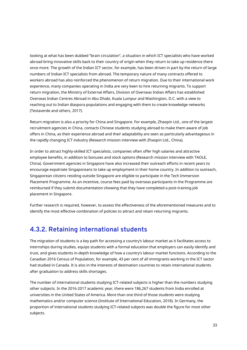looking at what has been dubbed "brain circulation", a situation in which ICT specialists who have worked abroad bring innovative skills back to their country of origin when they return to take up residence there once more. The growth of the Indian ICT sector, for example, has been driven in part by the return of large numbers of Indian ICT specialists from abroad. The temporary nature of many contracts offered to workers abroad has also reinforced the phenomenon of return migration. Due to their international work experience, many companies operating in India are very keen to hire returning migrants. To support return migration, the Ministry of External Affairs, Division of Overseas Indian Affairs has established Overseas Indian Centres Abroad in Abu Dhabi, Kuala Lumpur and Washington, D.C. with a view to reaching out to Indian diaspora populations and engaging with them to create knowledge networks (Testaverde and others, 2017).

Return migration is also a priority for China and Singapore. For example, Zhaopin Ltd., one of the largest recruitment agencies in China, contacts Chinese students studying abroad to make them aware of job offers in China, as their experience abroad and their adaptability are seen as particularly advantageous in the rapidly changing ICT industry (Research mission interview with Zhaopin Ltd., China).

In order to attract highly-skilled ICT specialists, companies often offer high salaries and attractive employee benefits, in addition to bonuses and stock options (Research mission interview with TAOLE, China). Government agencies in Singapore have also increased their outreach efforts in recent years to encourage expatriate Singaporeans to take up employment in their home country. In addition to outreach, Singaporean citizens residing outside Singapore are eligible to participate in the Tech Immersion Placement Programme. As an incentive, course fees paid by overseas participants in the Programme are reimbursed if they submit documentation showing that they have completed a post-training job placement in Singapore.

Further research is required, however, to assess the effectiveness of the aforementioned measures and to identify the most effective combination of policies to attract and retain returning migrants.

### <span id="page-32-0"></span>**4.3.2. Retaining international students**

The migration of students is a key path for accessing a country's labour market as it facilitates access to internships during studies, equips students with a formal education that employers can easily identify and trust, and gives students in-depth knowledge of how a country's labour market functions. According to the Canadian 2016 Census of Population, for example, 43 per cent of all immigrants working in the ICT sector had studied in Canada. It is also in the interests of destination countries to retain international students after graduation to address skills shortages.

The number of international students studying ICT-related subjects is higher than the numbers studying other subjects. In the 2016-2017 academic year, there were 186,267 students from India enrolled at universities in the United States of America. More than one third of those students were studying mathematics and/or computer science (Institute of International Education, 2018). In Germany, the proportion of international students studying ICT-related subjects was double the figure for most other subjects.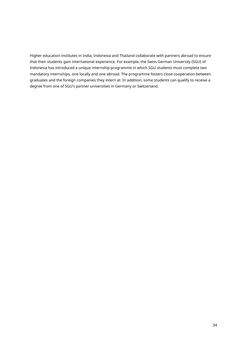Higher education institutes in India, Indonesia and Thailand collaborate with partners abroad to ensure that their students gain international experience. For example, the Swiss German University (SGU) of Indonesia has introduced a unique internship programme in which SGU students must complete two mandatory internships, one locally and one abroad. The programme fosters close cooperation between graduates and the foreign companies they intern at. In addition, some students can qualify to receive a degree from one of SGU's partner universities in Germany or Switzerland.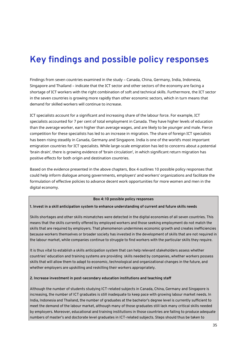# <span id="page-34-0"></span>**Key findings and possible policy responses**

Findings from seven countries examined in the study – Canada, China, Germany, India, Indonesia, Singapore and Thailand – indicate that the ICT sector and other sectors of the economy are facing a shortage of ICT workers with the right combination of soft and technical skills. Furthermore, the ICT sector in the seven countries is growing more rapidly than other economic sectors, which in turn means that demand for skilled workers will continue to increase.

ICT specialists account for a significant and increasing share of the labour force. For example, ICT specialists accounted for 7 per cent of total employment in Canada. They have higher levels of education than the average worker, earn higher than average wages, and are likely to be younger and male. Fierce competition for these specialists has led to an increase in migration. The share of foreign ICT specialists has been rising steadily in Canada, Germany and Singapore. India is one of the world's most important emigration countries for ICT specialists. While large-scale emigration has led to concerns about a potential 'brain drain', there is growing evidence of 'brain circulation', in which significant return migration has positive effects for both origin and destination countries.

Based on the evidence presented in the above chapters, Box 4 outlines 10 possible policy responses that could help inform dialogue among governments, employers' and workers' organizations and facilitate the formulation of effective policies to advance decent work opportunities for more women and men in the digital economy.

#### **Box 4: 10 possible policy responses**

#### **1. Invest in a skill anticipation system to enhance understanding of current and future skills needs**

Skills shortages and other skills mismatches were detected in the digital economies of all seven countries. This means that the skills currently offered by employed workers and those seeking employment do not match the skills that are required by employers. That phenomenon undermines economic growth and creates inefficiencies because workers themselves or broader society has invested in the development of skills that are not required in the labour market, while companies continue to struggle to find workers with the particular skills they require.

It is thus vital to establish a skills anticipation system that can help relevant stakeholders assess whether countries' education and training systems are providing skills needed by companies, whether workers possess skills that will allow them to adapt to economic, technological and organizational changes in the future, and whether employers are upskilling and reskilling their workers appropriately.

#### **2. Increase investment in post-secondary education institutions and teaching staff**

Although the number of students studying ICT-related subjects in Canada, China, Germany and Singapore is increasing, the number of ICT graduates is still inadequate to keep pace with growing labour market needs. In India, Indonesia and Thailand, the number of graduates at the bachelor's degree level is currently sufficient to meet the demand of the labour market, although many of those graduates still lack many critical skills needed by employers. Moreover, educational and training institutions in those countries are failing to produce adequate numbers of master's and doctorate level graduates in ICT-related subjects. Steps should thus be taken to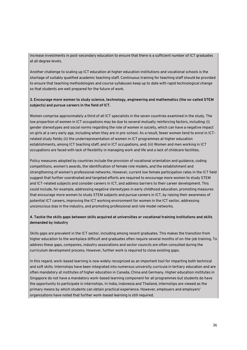increase investments in post-secondary education to ensure that there is a sufficient number of ICT graduates at all degree levels.

Another challenge to scaling up ICT education at higher education institutions and vocational schools is the shortage of suitably qualified academic teaching staff. Continuous training for teaching staff should be provided to ensure that teaching methodologies and course syllabuses keep up to date with rapid technological change so that students are well prepared for the future of work.

### **3. Encourage more women to study science, technology, engineering and mathematics (the so-called STEM subjects) and pursue careers in the field of ICT.**

Women comprise approximately a third of all ICT specialists in the seven countries examined in the study. The low proportion of women in ICT occupations may be due to several mutually reinforcing factors, including: (i) gender stereotypes and social norms regarding the role of women in society, which can have a negative impact on girls at a very early age, including when they are in pre-school. As a result, fewer women tend to enrol in ICTrelated study fields; (ii) the underrepresentation of women in ICT programmes at higher education establishments, among ICT teaching staff, and in ICT occupations, and; (iii) Women and men working in ICT occupations are faced with lack of flexibility in managing work and life and a lack of childcare facilities.

Policy measures adopted by countries include the provision of vocational orientation and guidance, coding competitions, women's awards, the identification of female role models, and the establishment and strengthening of women's professional networks. However, current low female participation rates in the ICT field suggest that further coordinated and targeted efforts are required to encourage more women to study STEM and ICT-related subjects and consider careers in ICT, and address barriers to their career development. This could include, for example, addressing negative stereotypes in early childhood education, promoting measures that encourage more women to study STEM subjects and pursue careers in ICT, by raising their awareness of potential ICT careers, improving the ICT working environment for women in the ICT sector, addressing unconscious bias in the industry, and promoting professional and role model networks.

### **4. Tackle the skills gaps between skills acquired at universities or vocational training institutions and skills demanded by industry**

Skills gaps are prevalent in the ICT sector, including among recent graduates. This makes the transition from higher education to the workplace difficult and graduates often require several months of on-the-job training. To address these gaps, companies, industry associations and sector councils are often consulted during the curriculum development process. However, further work is required to close existing gaps.

In this regard, work-based learning is now widely recognized as an important tool for imparting both technical and soft skills. Internships have been integrated into numerous university curricula in tertiary education and are often mandatory at institutes of higher education in Canada, China and Germany. Higher education institutes in Singapore do not have a mandatory work-based learning component for all programmes but students do have the opportunity to participate in internships. In India, Indonesia and Thailand, internships are viewed as the primary means by which students can obtain practical experience. However, employers and employers' organizations have noted that further work-based learning is still required.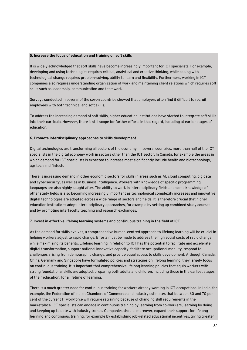#### **5. Increase the focus of education and training on soft skills**

It is widely acknowledged that soft skills have become increasingly important for ICT specialists. For example, developing and using technologies requires critical, analytical and creative thinking, while coping with technological change requires problem-solving, ability to learn and flexibility. Furthermore, working in ICT companies also requires understanding organization of work and maintaining client relations which requires soft skills such as leadership, communication and teamwork.

Surveys conducted in several of the seven countries showed that employers often find it difficult to recruit employees with both technical and soft skills.

To address the increasing demand of soft skills, higher education institutions have started to integrate soft skills into their curricula. However, there is still scope for further efforts in that regard, including at earlier stages of education.

#### **6. Promote interdisciplinary approaches to skills development**

Digital technologies are transforming all sectors of the economy. In several countries, more than half of the ICT specialists in the digital economy work in sectors other than the ICT sector. In Canada, for example the areas in which demand for ICT specialists is expected to increase most significantly include health and biotechnology, agritech and fintech.

There is increasing demand in other economic sectors for skills in areas such as AI, cloud computing, big data and cybersecurity, as well as in business intelligence. Workers with knowledge of specific programming languages are also highly sought after. The ability to work in interdisciplinary fields and some knowledge of other study fields is also becoming increasingly important as technological complexity increases and innovative digital technologies are adopted across a wide range of sectors and fields. It is therefore crucial that higher education institutions adopt interdisciplinary approaches, for example by setting up combined study courses and by promoting interfaculty teaching and research exchanges.

#### **7. Invest in effective lifelong learning systems and continuous training in the field of ICT**

As the demand for skills evolves, a comprehensive human-centred approach to lifelong learning will be crucial in helping workers adjust to rapid change. Efforts must be made to address the high social costs of rapid change while maximizing its benefits. Lifelong learning in relation to ICT has the potential to facilitate and accelerate digital transformation, support national innovative capacity, facilitate occupational mobility, respond to challenges arising from demographic change, and provide equal access to skills development. Although Canada, China, Germany and Singapore have formulated policies and strategies on lifelong learning, they largely focus on continuous training. It is important that comprehensive lifelong learning policies that equip workers with strong foundational skills are adopted, preparing both adults and children, including those in the earliest stages of their education, for a lifetime of learning.

There is a much greater need for continuous training for workers already working in ICT occupations. In India, for example, the Federation of Indian Chambers of Commerce and Industry estimates that between 60 and 70 per cent of the current IT workforce will require retraining because of changing skill requirements in the marketplace. ICT specialists can engage in continuous training by learning from co-workers, learning by doing and keeping up to date with industry trends. Companies should, moreover, expand their support for lifelong learning and continuous training, for example by establishing job-related educational incentives, giving greater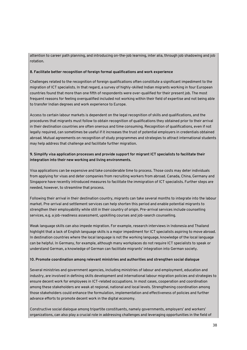attention to career path planning, and introducing on-the-job learning, inter alia, through job shadowing and job rotation.

#### **8. Facilitate better recognition of foreign formal qualifications and work experience**

Challenges related to the recognition of foreign qualifications often constitute a significant impediment to the migration of ICT specialists. In that regard, a survey of highly-skilled Indian migrants working in four European countries found that more than one fifth of respondents were over-qualified for their present job. The most frequent reasons for feeling overqualified included not working within their field of expertise and not being able to transfer Indian degrees and work experience to Europe.

Access to certain labour markets is dependent on the legal recognition of skills and qualifications, and the procedures that migrants must follow to obtain recognition of qualifications they obtained prior to their arrival in their destination countries are often onerous and time consuming. Recognition of qualifications, even if not legally required, can sometimes be useful if it increases the trust of potential employers in credentials obtained abroad. Mutual agreements on recognition of study programmes and strategies to attract international students may help address that challenge and facilitate further migration.

### **9. Simplify visa application processes and provide support for migrant ICT specialists to facilitate their integration into their new working and living environments.**

Visa applications can be expensive and take considerable time to process. Those costs may deter individuals from applying for visas and deter companies from recruiting workers from abroad. Canada, China, Germany and Singapore have recently introduced measures to facilitate the immigration of ICT specialists. Further steps are needed, however, to streamline that process.

Following their arrival in their destination country, migrants can take several months to integrate into the labour market. Pre-arrival and settlement services can help shorten this period and enable potential migrants to strengthen their employability while still in their country of origin. Pre-arrival services include counselling services, e.g. a job-readiness assessment, upskilling courses and job-search counselling.

Weak language skills can also impede migration. For example, research interviews in Indonesia and Thailand highlight that a lack of English language skills is a major impediment for ICT specialists aspiring to move abroad. In destination countries where the local language is not the working language, knowledge of the local language can be helpful. In Germany, for example, although many workplaces do not require ICT specialists to speak or understand German, a knowledge of German can facilitate migrants' integration into German society.

#### **10. Promote coordination among relevant ministries and authorities and strengthen social dialogue**

Several ministries and government agencies, including ministries of labour and employment, education and industry, are involved in defining skills development and international labour migration policies and strategies to ensure decent work for employees in ICT-related occupations. In most cases, cooperation and coordination among these stakeholders are weak at regional, national and local levels. Strengthening coordination among those stakeholders could enhance the formulation, implementation and effectiveness of policies and further advance efforts to promote decent work in the digital economy.

Constructive social dialogue among tripartite constituents, namely governments, employers' and workers' organizations, can also play a crucial role in addressing challenges and leveraging opportunities in the field of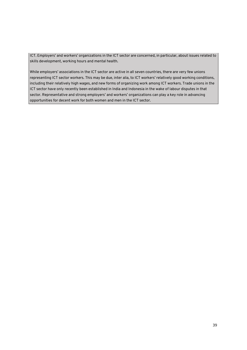ICT. Employers' and workers' organizations in the ICT sector are concerned, in particular, about issues related to skills development, working hours and mental health.

While employers' associations in the ICT sector are active in all seven countries, there are very few unions representing ICT sector workers. This may be due, inter alia, to ICT workers' relatively good working conditions, including their relatively high wages, and new forms of organizing work among ICT workers. Trade unions in the ICT sector have only recently been established in India and Indonesia in the wake of labour disputes in that sector. Representative and strong employers' and workers' organizations can play a key role in advancing opportunities for decent work for both women and men in the ICT sector.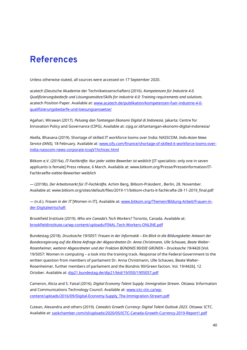# <span id="page-39-0"></span>**References**

Unless otherwise stated, all sources were accessed on 17 September 2020.

acatech (Deutsche Akademie der Technikwissenschaften) (2016). *Kompetenzen für Industrie 4.0. Qualifizierungsbedarfe und Lösungsansätze*/*Skills for industrie 4.0: Training requirements and solutions*. acatech Position Paper. Available at: [www.acatech.de/publikation/kompetenzen-fuer-industrie-4-0](http://www.acatech.de/publikation/kompetenzen-fuer-industrie-4-0-qualifizierungsbedarfe-und-loesungsansaetze/) [qualifizierungsbedarfe-und-loesungsansaetze/](http://www.acatech.de/publikation/kompetenzen-fuer-industrie-4-0-qualifizierungsbedarfe-und-loesungsansaetze/)

Agahari, Wirawan (2017). *Peluang dan Tantangan Ekonomi Digital di Indonesia.* Jakarta: Centre for Innovation Policy and Governance (CIPG). Available at: cipg.or.id/tantangan-ekonomi-digital-indonesia/

Akella, Bhavana (2019). Shortage of skilled IT workforce looms over India: NASSCOM. *Indo-Asian News Service (IANS),* 18 February. Available at: [www.sify.com/finance/shortage-of-skilled-it-workforce-looms-over](http://www.sify.com/finance/shortage-of-skilled-it-workforce-looms-over-india-nasscom-news-corporate-tcsqV1hchicec.html)[india-nasscom-news-corporate-tcsqV1hchicec.html](http://www.sify.com/finance/shortage-of-skilled-it-workforce-looms-over-india-nasscom-news-corporate-tcsqV1hchicec.html)

Bitkom e.V. (2019a). *IT-Fachkräfte: Nur jeder siebte Bewerber ist weiblich* [IT specialists: only one in seven applicants is female] Press release, 6 March. Available at: www.bitkom.org/Presse/Presseinformation/IT-Fachkraefte-siebte-Bewerber-weiblich

— (2019b). *Der Arbeitsmarkt für IT-Fachkräfte.* Achim Berg, Bitkom-Präsident , Berlin, 28. November. Available at: www.bitkom.org/sites/default/files/2019-11/bitkom-charts-it-fachkrafte-28-11-2019\_final.pdf

— (n.d.). *Frauen in der IT* [Women in IT]. Available at: [www.bitkom.org/Themen/Bildung-Arbeit/Frauen-in](http://www.bitkom.org/Themen/Bildung-Arbeit/Frauen-in-der-Digitalwirtschaft)[der-Digitalwirtschaft](http://www.bitkom.org/Themen/Bildung-Arbeit/Frauen-in-der-Digitalwirtschaft)

Brookfield Institute (2019). *Who are Canada's Tech Workers?* Toronto, Canada. Available at: [brookfieldinstitute.ca/wp-content/uploads/FINAL-Tech-Workers-ONLINE.pdf](https://brookfieldinstitute.ca/wp-content/uploads/FINAL-Tech-Workers-ONLINE.pdf)

Bundestag (2018). *Drucksache 19/5057: Frauen in der Informatik – Ein Blick in die Bildungskette: Antwort der Bundesregierung auf die Kleine Anfrage der Abgeordneten Dr. Anna Christmann, Ulle Schauws, Beate Walter-Rosenheimer, weiterer Abgeordneter und der Fraktion BÜNDNIS 90/DIE GRÜNEN – Drucksache 19/4426* [Vol. 19/5057: Women in computing – a look into the training track. Response of the Federal Government to the written question from members of parliament Dr. Anna Christmann, Ulle Schauws, Beate Walter-Rosenheimer, further members of parliament and the Bündnis 90/Green faction. Vol. 19/4426]. 12 October. Available at[: dip21.bundestag.de/dip21/btd/19/050/1905057.pdf](http://dip21.bundestag.de/dip21/btd/19/050/1905057.pdf)

Cameron, Alicia and S. Faisal (2016). *Digital Economy Talent Supply: Immigration Stream*. Ottawa: Information and Communications Technology Council. Available at: [www.ictc-ctic.ca/wp](http://www.ictc-ctic.ca/wp-content/uploads/2016/09/Digital-Economy-Supply_The-Immigration-Stream.pdf)[content/uploads/2016/09/Digital-Economy-Supply\\_The-Immigration-Stream.pdf](http://www.ictc-ctic.ca/wp-content/uploads/2016/09/Digital-Economy-Supply_The-Immigration-Stream.pdf)

Cutean, Alexandra and others (2019). *Canada's Growth Currency: Digital Talent Outlook 2023*. Ottawa: ICTC. Available at: [saskchamber.com/isl/uploads/2020/05/ICTC-Canada-Growth-Currency-2019-Report1.pdf](https://saskchamber.com/isl/uploads/2020/05/ICTC-Canada-Growth-Currency-2019-Report1.pdf)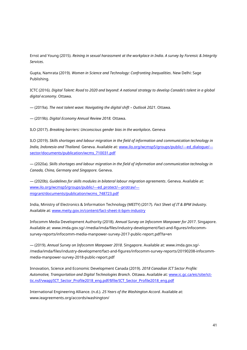Ernst and Young (2015). *Reining in sexual harassment at the workplace in India. A survey by Forensic & Integrity Services*.

Gupta, Namrata (2019). *Women in Science and Technology: Confronting Inequalities*. New Delhi: Sage Publishing.

ICTC (2016). *Digital Talent: Road to 2020 and beyond: A national strategy to develop Canada's talent in a global digital economy*. Ottawa.

— (2019a). *The next talent wave: Navigating the digital shift – Outlook 2021*. Ottawa.

— (2019b). *Digital Economy Annual Review 2018.* Ottawa.

ILO (2017). *Breaking barriers: Unconscious gender bias in the workplace***.** Geneva

ILO (2019). *Skills shortages and labour migration in the field of information and communication technology in India, Indonesia and Thailand.* Geneva. Available at[: www.ilo.org/wcmsp5/groups/public/---ed\\_dialogue/--](http://www.ilo.org/wcmsp5/groups/public/---ed_dialogue/---sector/documents/publication/wcms_710031.pdf) [sector/documents/publication/wcms\\_710031.pdf](http://www.ilo.org/wcmsp5/groups/public/---ed_dialogue/---sector/documents/publication/wcms_710031.pdf)

— (2020a). *Skills shortages and labour migration in the field of information and communication technology in Canada, China, Germany and Singapore.* Geneva.

— (2020b). *Guidelines for skills modules in bilateral labour migration agreements*. Geneva. Available at: [www.ilo.org/wcmsp5/groups/public/---ed\\_protect/---protrav/--](http://www.ilo.org/wcmsp5/groups/public/---ed_protect/---protrav/---migrant/documents/publication/wcms_748723.pdf) [migrant/documents/publication/wcms\\_748723.pdf](http://www.ilo.org/wcmsp5/groups/public/---ed_protect/---protrav/---migrant/documents/publication/wcms_748723.pdf)

India, Ministry of Electronics & Information Technology (MEITY) (2017). *Fact Sheet of IT & BPM Industry.*  Available at: [www.meity.gov.in/content/fact-sheet-it-bpm-industry](http://www.meity.gov.in/content/fact-sheet-it-bpm-industry)

Infocomm Media Development Authority (2018). *Annual Survey on Infocomm Manpower for 2017*. Singapore. Available at: [www.imda.gov.sg/-/media/imda/files/industry-development/fact-and-figures/infocomm](http://www.imda.gov.sg/-/media/imda/files/industry-development/fact-and-figures/infocomm-survey-reports/infocomm-media-manpower-survey-2017-public-report.pdf?la=en)[survey-reports/infocomm-media-manpower-survey-2017-public-report.pdf?la=en](http://www.imda.gov.sg/-/media/imda/files/industry-development/fact-and-figures/infocomm-survey-reports/infocomm-media-manpower-survey-2017-public-report.pdf?la=en)

— (2019). *Annual Survey on Infocomm Manpower 2018*. Singapore. Available at: [www.imda.gov.sg/-](http://www.imda.gov.sg/-/media/imda/files/industry-development/fact-and-figures/infocomm-survey-reports/20190208-infocomm-media-manpower-survey-2018-public-report.pdf) [/media/imda/files/industry-development/fact-and-figures/infocomm-survey-reports/20190208-infocomm](http://www.imda.gov.sg/-/media/imda/files/industry-development/fact-and-figures/infocomm-survey-reports/20190208-infocomm-media-manpower-survey-2018-public-report.pdf)[media-manpower-survey-2018-public-report.pdf](http://www.imda.gov.sg/-/media/imda/files/industry-development/fact-and-figures/infocomm-survey-reports/20190208-infocomm-media-manpower-survey-2018-public-report.pdf)

Innovation, Science and Economic Development Canada (2019). *2018 Canadian ICT Sector Profile: Automotive, Transportation and Digital Technologies Branch*. Ottawa. Available at: [www.ic.gc.ca/eic/site/ict](http://www.ic.gc.ca/eic/site/ict-tic.nsf/vwapj/ICT_Sector_Profile2018_eng.pdf/$file/ICT_Sector_Profile2018_eng.pdf)[tic.nsf/vwapj/ICT\\_Sector\\_Profile2018\\_eng.pdf/\\$file/ICT\\_Sector\\_Profile2018\\_eng.pdf](http://www.ic.gc.ca/eic/site/ict-tic.nsf/vwapj/ICT_Sector_Profile2018_eng.pdf/$file/ICT_Sector_Profile2018_eng.pdf)

International Engineering Alliance. (n.d.). *25 Years of the Washington Accord.* Available at: www.ieagreements.org/accords/washington/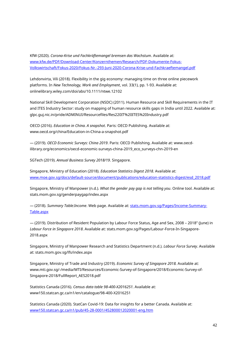KfW (2020). *Corona-Krise und Fachkräftemangel bremsen das Wachstum*. Available at: [www.kfw.de/PDF/Download-Center/Konzernthemen/Research/PDF-Dokumente-Fokus-](http://www.kfw.de/PDF/Download-Center/Konzernthemen/Research/PDF-Dokumente-Fokus-Volkswirtschaft/Fokus-2020/Fokus-Nr.-293-Juni-2020-Corona-Krise-und-Fachkraeftemangel.pdf)[Volkswirtschaft/Fokus-2020/Fokus-Nr.-293-Juni-2020-Corona-Krise-und-Fachkraeftemangel.pdf](http://www.kfw.de/PDF/Download-Center/Konzernthemen/Research/PDF-Dokumente-Fokus-Volkswirtschaft/Fokus-2020/Fokus-Nr.-293-Juni-2020-Corona-Krise-und-Fachkraeftemangel.pdf)

Lehdonvirta, Vili (2018). Flexibility in the gig economy: managing time on three online piecework platforms. In *New Technology, Work and Employment*, vol. 33(1), pp. 1-93. Available at: onlinelibrary.wiley.com/doi/abs/10.1111/ntwe.12102

National Skill Development Corporation (NSDC) (2011). Human Resource and Skill Requirements in the IT and ITES Industry Sector: study on mapping of human resource skills gaps in India until 2022. Available at: glpc.guj.nic.in/pride/ADMINUI/Resourcefiles/Res220IT%20ITES%20Industry.pdf

OECD (2016). *Education in China. A snapshot*. Paris: OECD Publishing. Available at: [www.oecd.org/china/Education-in-China-a-snapshot.pdf](http://www.oecd.org/china/Education-in-China-a-snapshot.pdf)

— (2019). *OECD Economic Surveys: China 2019*. Paris: OECD Publishing. Available at: [www.oecd](http://www.oecd-ilibrary.org/economics/oecd-economic-surveys-china-2019_eco_surveys-chn-2019-en)[ilibrary.org/economics/oecd-economic-surveys-china-2019\\_eco\\_surveys-chn-2019-en](http://www.oecd-ilibrary.org/economics/oecd-economic-surveys-china-2019_eco_surveys-chn-2019-en)

SGTech (2019). *Annual Business Survey 2018/19*. Singapore.

Singapore, Ministry of Education (2018). *Education Statistics Digest 2018.* Available at: [www.moe.gov.sg/docs/default-source/document/publications/education-statistics-digest/esd\\_2018.pdf](http://www.moe.gov.sg/docs/default-source/document/publications/education-statistics-digest/esd_2018.pdf)

Singapore, Ministry of Manpower (n.d.). *What the gender pay gap is not telling you*. Online tool. Available at: stats.mom.gov.sg/genderpaygap/index.aspx

— (2018). *Summary Table:Income*. Web page. Available at: [stats.mom.gov.sg/Pages/Income-Summary-](https://stats.mom.gov.sg/Pages/Income-Summary-Table.aspx)[Table.aspx](https://stats.mom.gov.sg/Pages/Income-Summary-Table.aspx)

— (2019). Distribution of Resident Population by Labour Force Status, Age and Sex, 2008 – 2018" (June) in *Labour Force in Singapore 2018*. Available at: stats.mom.gov.sg/Pages/Labour-Force-In-Singapore-2018.aspx

Singapore, Ministry of Manpower Research and Statistics Department (n.d.). *Labour Force Survey*. Available at: stats.mom.gov.sg/lfs/index.aspx

Singapore, Ministry of Trade and Industry (2019). *Economic Survey of Singapore 2018.* Available at: [www.mti.gov.sg/-/media/MTI/Resources/Economic-Survey-of-Singapore/2018/Economic-Survey-of-](http://www.mti.gov.sg/-/media/MTI/Resources/Economic-Survey-of-Singapore/2018/Economic-Survey-of-Singapore-2018/FullReport_AES2018.pdf)[Singapore-2018/FullReport\\_AES2018.pdf](http://www.mti.gov.sg/-/media/MTI/Resources/Economic-Survey-of-Singapore/2018/Economic-Survey-of-Singapore-2018/FullReport_AES2018.pdf)

Statistics Canada (2016). *Census data table 98-400-X2016251.* Available at: www150.statcan.gc.ca/n1/en/catalogue/98-400-X2016251

Statistics Canada (2020). StatCan Covid-19: Data for insights for a better Canada. Available at: [www150.statcan.gc.ca/n1/pub/45-28-0001/452800012020001-eng.htm](https://www150.statcan.gc.ca/n1/pub/45-28-0001/452800012020001-eng.htm)